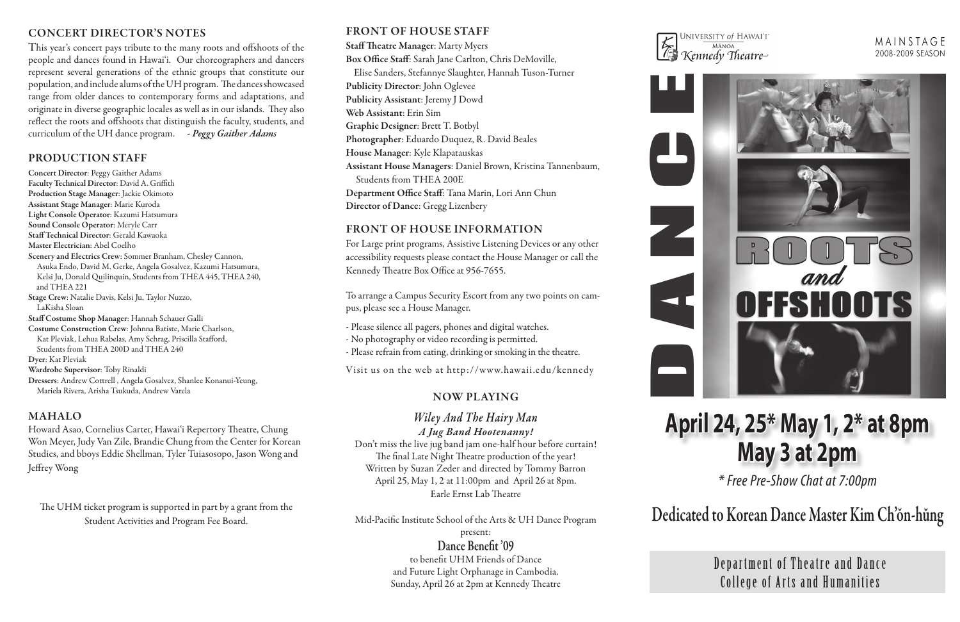# 2008-2009 SEASON



# CONCERT DIRECTOR'S NOTES<br>This process to the strategy of the strategy of the strategy of the strategy of the strategy of the strategy of the strategy of the strategy of the strategy of the strategy of the strategy of the s

This year's concert pays tribute to the many roots and offshoots of the people and dances found in Hawai'i. Our choreographers and dancers represent several generations of the ethnic groups that constitute our population, and include alums of the UH program. The dances showcased range from older dances to contemporary forms and adaptations, and originate in diverse geographic locales as well as in our islands. They also reflect the roots and offshoots that distinguish the faculty, students, and curriculum of the UH dance program. *- Peggy Gaither Adams*

# PRODUCTION STAFF

Concert Director: Peggy Gaither Adams Faculty Technical Director: David A. Griffith Production Stage Manager: Jackie Okimoto Assistant Stage Manager: Marie Kuroda Light Console Operator: Kazumi Hatsumura Sound Console Operator: Meryle Carr Staff Technical Director: Gerald Kawaoka Master Electrician: Abel Coelho Scenery and Electrics Crew: Sommer Branham, Chesley Cannon, Asuka Endo, David M. Gerke, Angela Gosalvez, Kazumi Hatsumura, Kelsi Ju, Donald Quilinquin, Students from THEA 445, THEA 240, and THEA 221 Stage Crew: Natalie Davis, Kelsi Ju, Taylor Nuzzo, LaKisha Sloan Staff Costume Shop Manager: Hannah Schauer Galli Costume Construction Crew: Johnna Batiste, Marie Charlson, Kat Pleviak, Lehua Rabelas, Amy Schrag, Priscilla Stafford, Students from THEA 200D and THEA 240 Dyer: Kat Pleviak Wardrobe Supervisor: Toby Rinaldi Dressers: Andrew Cottrell , Angela Gosalvez, Shanlee Konanui-Yeung, Mariela Rivera, Arisha Tsukuda, Andrew Varela

## MAHALO

Howard Asao, Cornelius Carter, Hawai'i Repertory Theatre, Chung Won Meyer, Judy Van Zile, Brandie Chung from the Center for Korean Studies, and bboys Eddie Shellman, Tyler Tuiasosopo, Jason Wong and Jeffrey Wong

The UHM ticket program is supported in part by a grant from the Student Activities and Program Fee Board.

# FRONT OF HOUSE STAFF

### Staff Theatre Manager: Marty Myers

Box Office Staff: Sarah Jane Carlton, Chris DeMoville, Elise Sanders, Stefannye Slaughter, Hannah Tuson-Turner Publicity Director: John Oglevee Publicity Assistant: Jeremy J Dowd Web Assistant: Erin Sim Graphic Designer: Brett T. Botbyl Photographer: Eduardo Duquez, R. David Beales House Manager: Kyle Klapatauskas Assistant House Managers: Daniel Brown, Kristina Tannenbaum, Students from THEA 200E Department Office Staff: Tana Marin, Lori Ann Chun Director of Dance: Gregg Lizenbery

# Front of House Information

For Large print programs, Assistive Listening Devices or any other accessibility requests please contact the House Manager or call the Kennedy Theatre Box Office at 956-7655.

To arrange a Campus Security Escort from any two points on campus, please see a House Manager.

- Please silence all pagers, phones and digital watches.

- No photography or video recording is permitted.
- Please refrain from eating, drinking or smoking in the theatre.

Visit us on the web at http ://www.hawaii.edu/kennedy

Department of Theatre and Dance College of Arts and Humanities

# **April 24, 25\* May 1, 2\* at 8pm May 3 at 2pm**

*\* Free Pre-Show Chat at 7:00pm*



N

C

E



Kennedy Theatre-

Dedicated to Korean Dance Master Kim Ch'ŏn-hŭng

## Now Playing

# *Wiley And The Hairy Man A Jug Band Hootenanny!*

Don't miss the live jug band jam one-half hour before curtain! The final Late Night Theatre production of the year! Written by Suzan Zeder and directed by Tommy Barron April 25, May 1, 2 at 11:00pm and April 26 at 8pm. Earle Ernst Lab Theatre

Mid-Pacific Institute School of the Arts & UH Dance Program present:

> Dance Benefit '09 to benefit UHM Friends of Dance and Future Light Orphanage in Cambodia. Sunday, April 26 at 2pm at Kennedy Theatre